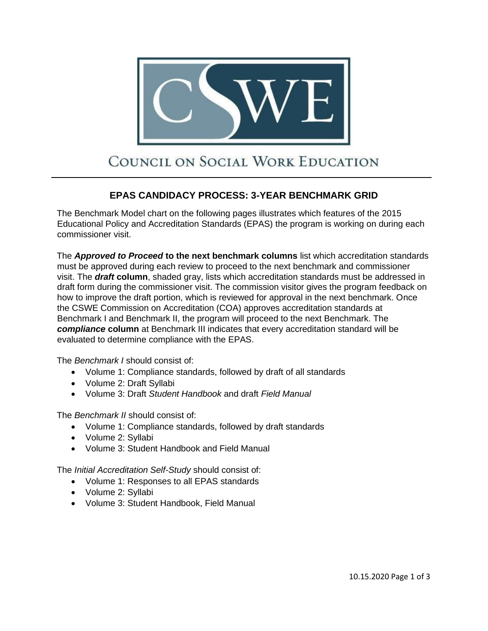

## COUNCIL ON SOCIAL WORK EDUCATION

## **EPAS CANDIDACY PROCESS: 3-YEAR BENCHMARK GRID**

The Benchmark Model chart on the following pages illustrates which features of the 2015 Educational Policy and Accreditation Standards (EPAS) the program is working on during each commissioner visit.

The *Approved to Proceed* **to the next benchmark columns** list which accreditation standards must be approved during each review to proceed to the next benchmark and commissioner visit. The *draft* **column**, shaded gray, lists which accreditation standards must be addressed in draft form during the commissioner visit. The commission visitor gives the program feedback on how to improve the draft portion, which is reviewed for approval in the next benchmark. Once the CSWE Commission on Accreditation (COA) approves accreditation standards at Benchmark I and Benchmark II, the program will proceed to the next Benchmark. The *compliance* **column** at Benchmark III indicates that every accreditation standard will be evaluated to determine compliance with the EPAS.

The *Benchmark I* should consist of:

- Volume 1: Compliance standards, followed by draft of all standards
- Volume 2: Draft Syllabi
- Volume 3: Draft *Student Handbook* and draft *Field Manual*

The *Benchmark II* should consist of:

- Volume 1: Compliance standards, followed by draft standards
- Volume 2: Syllabi
- Volume 3: Student Handbook and Field Manual

The *Initial Accreditation Self-Study* should consist of:

- Volume 1: Responses to all EPAS standards
- Volume 2: Syllabi
- Volume 3: Student Handbook, Field Manual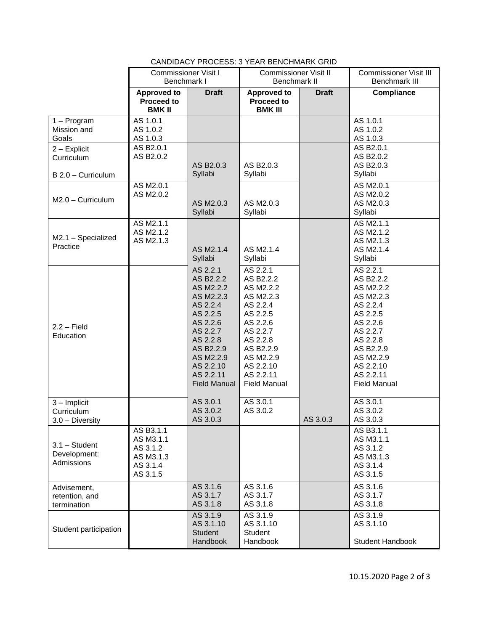|                                                   | <b>Commissioner Visit I</b><br>Benchmark I                              |                                                                                                                                                                                        | <b>Commissioner Visit II</b><br>Benchmark II                                                                                                                                           |              | <b>Commissioner Visit III</b><br>Benchmark III                                                                                                                                         |
|---------------------------------------------------|-------------------------------------------------------------------------|----------------------------------------------------------------------------------------------------------------------------------------------------------------------------------------|----------------------------------------------------------------------------------------------------------------------------------------------------------------------------------------|--------------|----------------------------------------------------------------------------------------------------------------------------------------------------------------------------------------|
|                                                   | Approved to<br><b>Proceed to</b><br><b>BMK II</b>                       | <b>Draft</b>                                                                                                                                                                           | <b>Approved to</b><br><b>Proceed to</b><br><b>BMK III</b>                                                                                                                              | <b>Draft</b> | Compliance                                                                                                                                                                             |
| $1 - Program$<br>Mission and<br>Goals             | AS 1.0.1<br>AS 1.0.2<br>AS 1.0.3                                        |                                                                                                                                                                                        |                                                                                                                                                                                        |              | AS 1.0.1<br>AS 1.0.2<br>AS 1.0.3                                                                                                                                                       |
| $2 -$ Explicit<br>Curriculum                      | AS B2.0.1<br>AS B2.0.2                                                  | AS B2.0.3                                                                                                                                                                              | AS B2.0.3<br>Syllabi                                                                                                                                                                   |              | AS B2.0.1<br>AS B2.0.2<br>AS B2.0.3                                                                                                                                                    |
| B 2.0 - Curriculum<br>$M2.0 - Curriculum$         | AS M2.0.1<br>AS M2.0.2                                                  | Syllabi<br>AS M2.0.3<br>Syllabi                                                                                                                                                        | AS M2.0.3<br>Syllabi                                                                                                                                                                   |              | Syllabi<br>AS M2.0.1<br>AS M2.0.2<br>AS M2.0.3<br>Syllabi                                                                                                                              |
| M2.1 - Specialized<br>Practice                    | AS M2.1.1<br>AS M2.1.2<br>AS M2.1.3                                     | AS M2.1.4<br>Syllabi                                                                                                                                                                   | AS M2.1.4<br>Syllabi                                                                                                                                                                   |              | AS M2.1.1<br>AS M2.1.2<br>AS M2.1.3<br>AS M2.1.4<br>Syllabi                                                                                                                            |
| $2.2 - Field$<br>Education                        |                                                                         | AS 2.2.1<br>AS B2.2.2<br>AS M2.2.2<br>AS M2.2.3<br>AS 2.2.4<br>AS 2.2.5<br>AS 2.2.6<br>AS 2.2.7<br>AS 2.2.8<br>AS B2.2.9<br>AS M2.2.9<br>AS 2.2.10<br>AS 2.2.11<br><b>Field Manual</b> | AS 2.2.1<br>AS B2.2.2<br>AS M2.2.2<br>AS M2.2.3<br>AS 2.2.4<br>AS 2.2.5<br>AS 2.2.6<br>AS 2.2.7<br>AS 2.2.8<br>AS B2.2.9<br>AS M2.2.9<br>AS 2.2.10<br>AS 2.2.11<br><b>Field Manual</b> |              | AS 2.2.1<br>AS B2.2.2<br>AS M2.2.2<br>AS M2.2.3<br>AS 2.2.4<br>AS 2.2.5<br>AS 2.2.6<br>AS 2.2.7<br>AS 2.2.8<br>AS B2.2.9<br>AS M2.2.9<br>AS 2.2.10<br>AS 2.2.11<br><b>Field Manual</b> |
| $3 -$ Implicit<br>Curriculum<br>$3.0 -$ Diversity |                                                                         | AS 3.0.1<br>AS 3.0.2<br>AS 3.0.3                                                                                                                                                       | AS 3.0.1<br>AS 3.0.2                                                                                                                                                                   | AS 3.0.3     | AS 3.0.1<br>AS 3.0.2<br>AS 3.0.3                                                                                                                                                       |
| $3.1 - Student$<br>Development:<br>Admissions     | AS B3.1.1<br>AS M3.1.1<br>AS 3.1.2<br>AS M3.1.3<br>AS 3.1.4<br>AS 3.1.5 |                                                                                                                                                                                        |                                                                                                                                                                                        |              | AS B3.1.1<br>AS M3.1.1<br>AS 3.1.2<br>AS M3.1.3<br>AS 3.1.4<br>AS 3.1.5                                                                                                                |
| Advisement,<br>retention, and<br>termination      |                                                                         | AS 3.1.6<br>AS 3.1.7<br>AS 3.1.8                                                                                                                                                       | AS 3.1.6<br>AS 3.1.7<br>AS 3.1.8                                                                                                                                                       |              | AS 3.1.6<br>AS 3.1.7<br>AS 3.1.8                                                                                                                                                       |
| Student participation                             |                                                                         | AS 3.1.9<br>AS 3.1.10<br><b>Student</b>                                                                                                                                                | AS 3.1.9<br>AS 3.1.10<br><b>Student</b>                                                                                                                                                |              | AS 3.1.9<br>AS 3.1.10                                                                                                                                                                  |
|                                                   |                                                                         | Handbook                                                                                                                                                                               | Handbook                                                                                                                                                                               |              | <b>Student Handbook</b>                                                                                                                                                                |